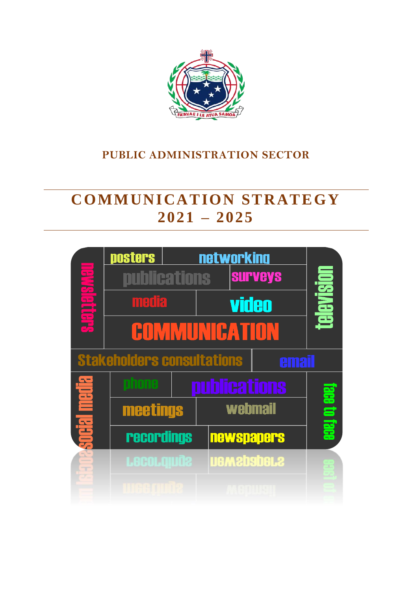

# **PUBLIC ADMINISTRATION SECTOR**

# **COMMUNICATION STRATEGY 2021 – 2025**

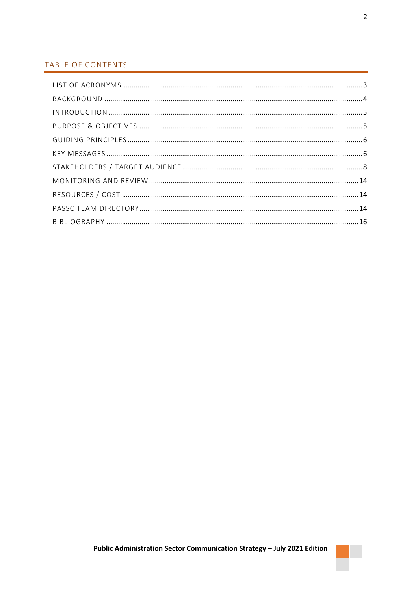### TABLE OF CONTENTS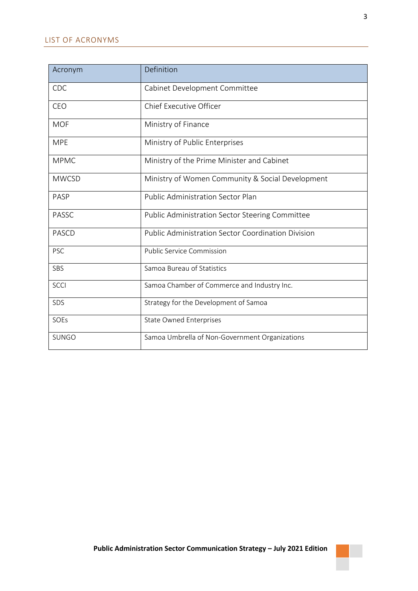<span id="page-2-0"></span>

| Acronym      | Definition                                             |
|--------------|--------------------------------------------------------|
| CDC          | Cabinet Development Committee                          |
| CEO          | <b>Chief Executive Officer</b>                         |
| <b>MOF</b>   | Ministry of Finance                                    |
| <b>MPE</b>   | Ministry of Public Enterprises                         |
| <b>MPMC</b>  | Ministry of the Prime Minister and Cabinet             |
| <b>MWCSD</b> | Ministry of Women Community & Social Development       |
| <b>PASP</b>  | <b>Public Administration Sector Plan</b>               |
| <b>PASSC</b> | <b>Public Administration Sector Steering Committee</b> |
| <b>PASCD</b> | Public Administration Sector Coordination Division     |
| <b>PSC</b>   | <b>Public Service Commission</b>                       |
| SBS          | Samoa Bureau of Statistics                             |
| <b>SCCI</b>  | Samoa Chamber of Commerce and Industry Inc.            |
| SDS          | Strategy for the Development of Samoa                  |
| SOEs         | <b>State Owned Enterprises</b>                         |
| <b>SUNGO</b> | Samoa Umbrella of Non-Government Organizations         |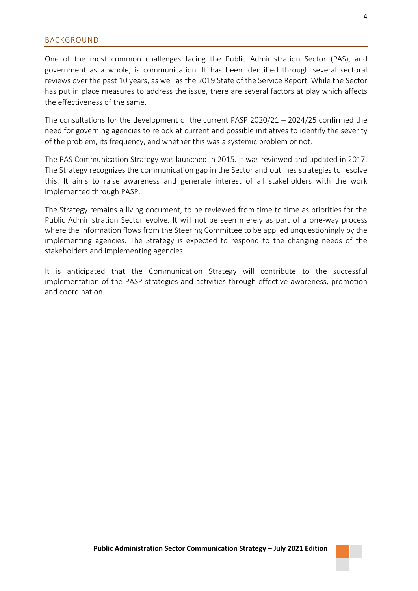<span id="page-3-0"></span>One of the most common challenges facing the Public Administration Sector (PAS), and government as a whole, is communication. It has been identified through several sectoral reviews over the past 10 years, as well as the 2019 State of the Service Report. While the Sector has put in place measures to address the issue, there are several factors at play which affects the effectiveness of the same.

The consultations for the development of the current PASP 2020/21 – 2024/25 confirmed the need for governing agencies to relook at current and possible initiatives to identify the severity of the problem, its frequency, and whether this was a systemic problem or not.

The PAS Communication Strategy was launched in 2015. It was reviewed and updated in 2017. The Strategy recognizes the communication gap in the Sector and outlines strategies to resolve this. It aims to raise awareness and generate interest of all stakeholders with the work implemented through PASP.

The Strategy remains a living document, to be reviewed from time to time as priorities for the Public Administration Sector evolve. It will not be seen merely as part of a one-way process where the information flows from the Steering Committee to be applied unquestioningly by the implementing agencies. The Strategy is expected to respond to the changing needs of the stakeholders and implementing agencies.

It is anticipated that the Communication Strategy will contribute to the successful implementation of the PASP strategies and activities through effective awareness, promotion and coordination.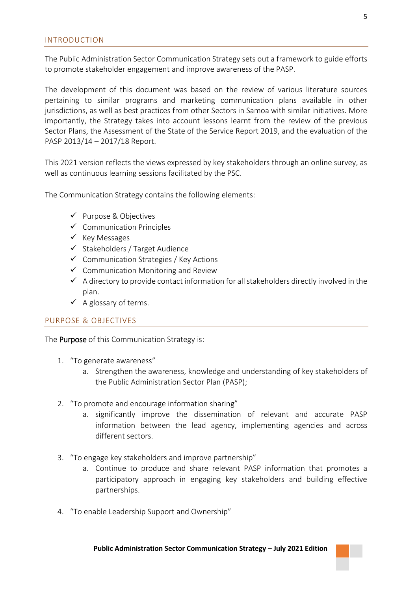<span id="page-4-0"></span>The Public Administration Sector Communication Strategy sets out a framework to guide efforts to promote stakeholder engagement and improve awareness of the PASP.

The development of this document was based on the review of various literature sources pertaining to similar programs and marketing communication plans available in other jurisdictions, as well as best practices from other Sectors in Samoa with similar initiatives. More importantly, the Strategy takes into account lessons learnt from the review of the previous Sector Plans, the Assessment of the State of the Service Report 2019, and the evaluation of the PASP 2013/14 – 2017/18 Report.

This 2021 version reflects the views expressed by key stakeholders through an online survey, as well as continuous learning sessions facilitated by the PSC.

The Communication Strategy contains the following elements:

- ✓ Purpose & Objectives
- $\checkmark$  Communication Principles
- ✓ Key Messages
- ✓ Stakeholders / Target Audience
- ✓ Communication Strategies / Key Actions
- ✓ Communication Monitoring and Review
- $\checkmark$  A directory to provide contact information for all stakeholders directly involved in the plan.
- $\checkmark$  A glossary of terms.

#### <span id="page-4-1"></span>PURPOSE & OBJECTIVES

The **Purpose** of this Communication Strategy is:

- 1. "To generate awareness"
	- a. Strengthen the awareness, knowledge and understanding of key stakeholders of the Public Administration Sector Plan (PASP);
- 2. "To promote and encourage information sharing"
	- a. significantly improve the dissemination of relevant and accurate PASP information between the lead agency, implementing agencies and across different sectors.
- 3. "To engage key stakeholders and improve partnership"
	- a. Continue to produce and share relevant PASP information that promotes a participatory approach in engaging key stakeholders and building effective partnerships.
- 4. "To enable Leadership Support and Ownership"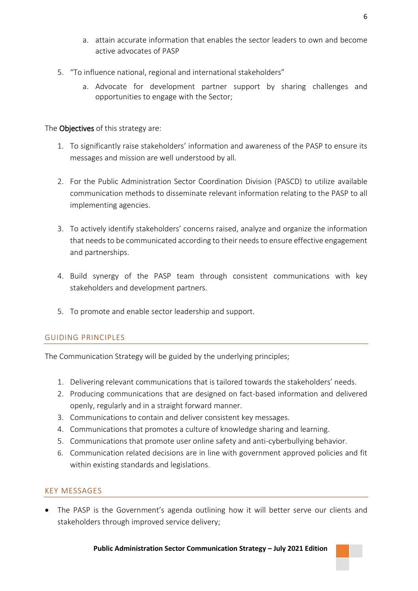- a. attain accurate information that enables the sector leaders to own and become active advocates of PASP
- 5. "To influence national, regional and international stakeholders"
	- a. Advocate for development partner support by sharing challenges and opportunities to engage with the Sector;

## The Objectives of this strategy are:

- 1. To significantly raise stakeholders' information and awareness of the PASP to ensure its messages and mission are well understood by all.
- 2. For the Public Administration Sector Coordination Division (PASCD) to utilize available communication methods to disseminate relevant information relating to the PASP to all implementing agencies.
- 3. To actively identify stakeholders' concerns raised, analyze and organize the information that needs to be communicated according to their needs to ensure effective engagement and partnerships.
- 4. Build synergy of the PASP team through consistent communications with key stakeholders and development partners.
- 5. To promote and enable sector leadership and support.

### <span id="page-5-0"></span>GUIDING PRINCIPLES

The Communication Strategy will be guided by the underlying principles;

- 1. Delivering relevant communications that is tailored towards the stakeholders' needs.
- 2. Producing communications that are designed on fact-based information and delivered openly, regularly and in a straight forward manner.
- 3. Communications to contain and deliver consistent key messages.
- 4. Communications that promotes a culture of knowledge sharing and learning.
- 5. Communications that promote user online safety and anti-cyberbullying behavior.
- 6. Communication related decisions are in line with government approved policies and fit within existing standards and legislations.

### <span id="page-5-1"></span>KEY MESSAGES

• The PASP is the Government's agenda outlining how it will better serve our clients and stakeholders through improved service delivery;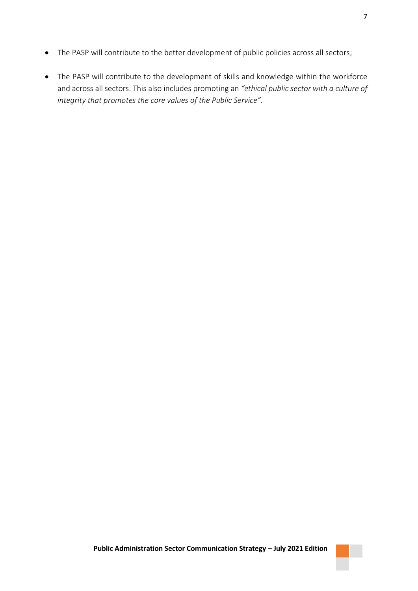- The PASP will contribute to the better development of public policies across all sectors;
- The PASP will contribute to the development of skills and knowledge within the workforce and across all sectors. This also includes promoting an *"ethical public sector with a culture of integrity that promotes the core values of the Public Service".*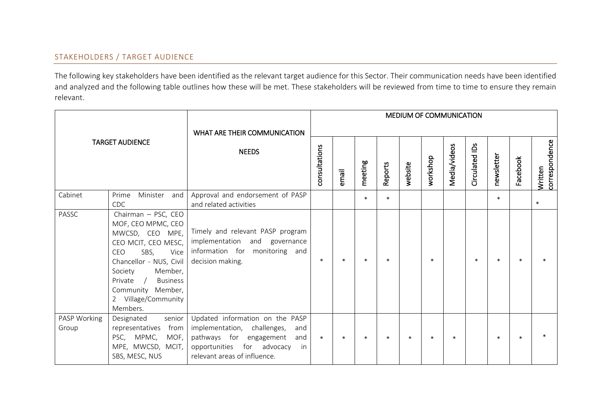### STAKEHOLDERS / TARGET AUDIENCE

The following key stakeholders have been identified as the relevant target audience for this Sector. Their communication needs have been identified and analyzed and the following table outlines how these will be met. These stakeholders will be reviewed from time to time to ensure they remain relevant.

<span id="page-7-0"></span>

| WHAT ARE THEIR COMMUNICATION<br><b>TARGET AUDIENCE</b><br><b>NEEDS</b> |                                                                                                                                                                                                                                                                        |                                                                                                                                                                             |               |        |         |         |         | <b>MEDIUM OF COMMUNICATION</b> |              |                |            |          |                           |
|------------------------------------------------------------------------|------------------------------------------------------------------------------------------------------------------------------------------------------------------------------------------------------------------------------------------------------------------------|-----------------------------------------------------------------------------------------------------------------------------------------------------------------------------|---------------|--------|---------|---------|---------|--------------------------------|--------------|----------------|------------|----------|---------------------------|
|                                                                        |                                                                                                                                                                                                                                                                        |                                                                                                                                                                             | consultations | email  | meeting | Reports | website | workshop                       | Media/videos | Circulated IDs | newsletter | Facebook | Written<br>correspondence |
| Cabinet                                                                | Prime<br>Minister<br>and<br><b>CDC</b>                                                                                                                                                                                                                                 | Approval and endorsement of PASP<br>and related activities                                                                                                                  |               |        | $\ast$  | $\ast$  |         |                                |              |                | $\ast$     |          | $\ast$                    |
| PASSC                                                                  | Chairman - PSC, CEO<br>MOF, CEO MPMC, CEO<br>MWCSD, CEO MPE,<br>CEO MCIT, CEO MESC,<br><b>CEO</b><br>SBS,<br>Vice<br>Chancellor - NUS, Civil<br>Member,<br>Society<br><b>Business</b><br>Private<br>$\sqrt{ }$<br>Community Member,<br>2 Village/Community<br>Members. | Timely and relevant PASP program<br>implementation and governance<br>information for monitoring and<br>decision making.                                                     | $\ast$        | $\ast$ | $\ast$  | $\ast$  |         | $\ast$                         |              | $\ast$         | $\ast$     |          |                           |
| PASP Working<br>Group                                                  | senior<br>Designated<br>from<br>representatives<br>PSC, MPMC,<br>MOF,<br>MPE, MWCSD, MCIT,<br>SBS, MESC, NUS                                                                                                                                                           | Updated information on the PASP<br>implementation, challenges,<br>and<br>pathways for engagement<br>and<br>opportunities for advocacy<br>in<br>relevant areas of influence. | $\ast$        | $\ast$ | $\ast$  | $\ast$  | $\ast$  | $\ast$                         | $\ast$       |                | $\ast$     | ۰k       |                           |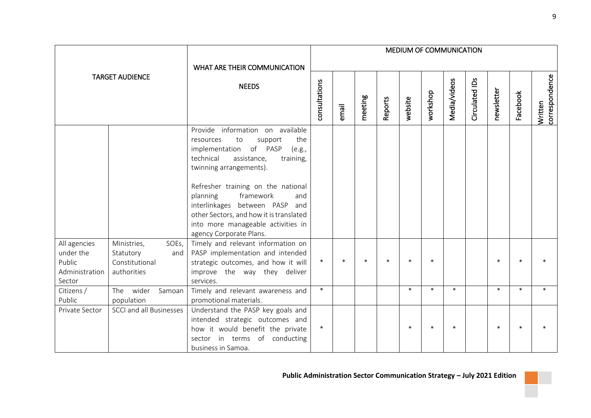|                                                                 |                                                                           |                                                                                                                                                                                                                                                                                                                                                                                                      |               |        |         |         | MEDIUM OF COMMUNICATION |          |              |                |            |          |                           |
|-----------------------------------------------------------------|---------------------------------------------------------------------------|------------------------------------------------------------------------------------------------------------------------------------------------------------------------------------------------------------------------------------------------------------------------------------------------------------------------------------------------------------------------------------------------------|---------------|--------|---------|---------|-------------------------|----------|--------------|----------------|------------|----------|---------------------------|
|                                                                 |                                                                           | WHAT ARE THEIR COMMUNICATION                                                                                                                                                                                                                                                                                                                                                                         |               |        |         |         |                         |          |              |                |            |          |                           |
| <b>TARGET AUDIENCE</b>                                          |                                                                           | <b>NEEDS</b>                                                                                                                                                                                                                                                                                                                                                                                         | consultations | email  | meeting | Reports | website                 | workshop | Media/videos | Circulated IDs | newsletter | Facebook | Written<br>correspondence |
|                                                                 |                                                                           | Provide information on available<br>the<br>to<br>support<br>resources<br>of PASP<br>implementation<br>(e.g.,<br>technical<br>assistance,<br>training,<br>twinning arrangements).<br>Refresher training on the national<br>framework<br>planning<br>and<br>interlinkages between PASP and<br>other Sectors, and how it is translated<br>into more manageable activities in<br>agency Corporate Plans. |               |        |         |         |                         |          |              |                |            |          |                           |
| All agencies<br>under the<br>Public<br>Administration<br>Sector | Ministries,<br>SOEs,<br>Statutory<br>and<br>Constitutional<br>authorities | Timely and relevant information on<br>PASP implementation and intended<br>strategic outcomes, and how it will<br>improve the way they deliver<br>services.                                                                                                                                                                                                                                           | $\ast$        | $\ast$ | $\ast$  | $\ast$  | $\ast$                  | $\ast$   |              |                | $\ast$     | $\ast$   |                           |
| Citizens /<br>Public                                            | The wider<br>Samoan<br>population                                         | Timely and relevant awareness and<br>promotional materials.                                                                                                                                                                                                                                                                                                                                          | $\ast$        |        |         |         | $\ast$                  | $\ast$   | $\ast$       |                | $\ast$     | $\ast$   | $\ast$                    |
| Private Sector                                                  | SCCI and all Businesses                                                   | Understand the PASP key goals and<br>intended strategic outcomes and<br>how it would benefit the private<br>sector in terms of conducting<br>business in Samoa.                                                                                                                                                                                                                                      | $\ast$        |        |         |         | $\ast$                  | $\ast$   | $\ast$       |                | $\ast$     | $\ast$   |                           |

π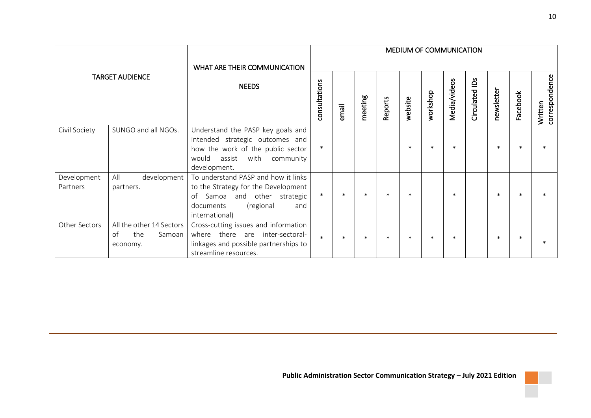|                         |                                                                     |                                                                                                                                                                     |               |        |         |         |         |          | MEDIUM OF COMMUNICATION |                |            |          |                               |
|-------------------------|---------------------------------------------------------------------|---------------------------------------------------------------------------------------------------------------------------------------------------------------------|---------------|--------|---------|---------|---------|----------|-------------------------|----------------|------------|----------|-------------------------------|
| <b>TARGET AUDIENCE</b>  |                                                                     | WHAT ARE THEIR COMMUNICATION<br><b>NEEDS</b>                                                                                                                        | consultations | email  | meeting | Reports | website | workshop | Media/videos            | Circulated IDs | newsletter | Facebook | <br> <br> <br> correspondence |
| Civil Society           | SUNGO and all NGOs.                                                 | Understand the PASP key goals and<br>intended strategic outcomes and<br>how the work of the public sector<br>would<br>with community<br>assist<br>development.      | $\ast$        |        |         |         | $\ast$  | $\ast$   | $\ast$                  |                |            | $\ast$   |                               |
| Development<br>Partners | All<br>development<br>partners.                                     | To understand PASP and how it links<br>to the Strategy for the Development<br>Samoa<br>and other strategic<br>of<br>(regional<br>documents<br>and<br>international) | $\ast$        | $\ast$ | $\ast$  | $\ast$  |         |          | $\ast$                  |                | $\ast$     | $\ast$   |                               |
| Other Sectors           | All the other 14 Sectors<br>the<br>$\alpha$ f<br>Samoan<br>economy. | Cross-cutting issues and information<br>there are<br>inter-sectoral-<br>where<br>linkages and possible partnerships to<br>streamline resources.                     | $\ast$        |        | $\ast$  | $\ast$  |         | $\ast$   | $\ast$                  |                |            |          |                               |

Π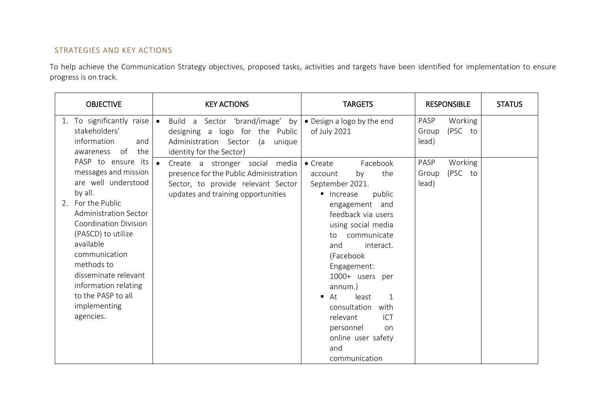# STRATEGIES AND KEY ACTIONS

To help achieve the Communication Strategy objectives, proposed tasks, activities and targets have been identified for implementation to ensure progress is on track.

| <b>OBJECTIVE</b>                                                                                                                                                                                                                                                                                                                       | <b>KEY ACTIONS</b>                                                                                                                                                | <b>TARGETS</b>                                                                                                                                                                                                                                                                                                                                                                                                          | <b>RESPONSIBLE</b>                           | <b>STATUS</b> |
|----------------------------------------------------------------------------------------------------------------------------------------------------------------------------------------------------------------------------------------------------------------------------------------------------------------------------------------|-------------------------------------------------------------------------------------------------------------------------------------------------------------------|-------------------------------------------------------------------------------------------------------------------------------------------------------------------------------------------------------------------------------------------------------------------------------------------------------------------------------------------------------------------------------------------------------------------------|----------------------------------------------|---------------|
| To significantly raise $\bullet$<br>1.<br>stakeholders'<br>information<br>and<br>of<br>the<br>awareness                                                                                                                                                                                                                                | Build a Sector 'brand/image' by<br>designing a logo for the Public<br>Administration Sector (a<br>unique<br>identity for the Sector)                              | • Design a logo by the end<br>of July 2021                                                                                                                                                                                                                                                                                                                                                                              | PASP<br>Working<br>(PSC to<br>Group<br>lead) |               |
| PASP to ensure its<br>messages and mission<br>are well understood<br>by all.<br>2. For the Public<br><b>Administration Sector</b><br><b>Coordination Division</b><br>(PASCD) to utilize<br>available<br>communication<br>methods to<br>disseminate relevant<br>information relating<br>to the PASP to all<br>implementing<br>agencies. | $\bullet$<br>Create a stronger social media<br>presence for the Public Administration<br>Sector, to provide relevant Sector<br>updates and training opportunities | Facebook<br>$\bullet$ Create<br>the<br>by<br>account<br>September 2021.<br>public<br>■ Increase<br>engagement and<br>feedback via users<br>using social media<br>communicate<br>to<br>and<br>interact.<br>(Facebook<br>Engagement:<br>1000+ users per<br>annum.)<br>least<br>At<br>$\mathbf{1}$<br>٠<br>consultation<br>with<br>relevant<br><b>ICT</b><br>personnel<br>on<br>online user safety<br>and<br>communication | Working<br>PASP<br>(PSC to<br>Group<br>lead) |               |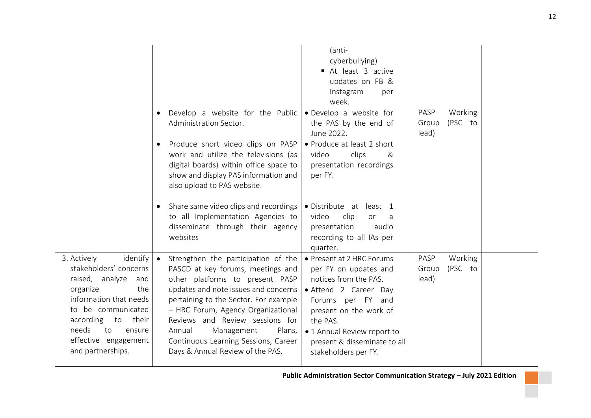|                                                                                                                                                                                                                                               |                                                                                                                                                                                                                                                                                                                                                                                                  | (anti-<br>cyberbullying)<br>At least 3 active<br>updates on FB &<br>Instagram<br>per<br>week.                                                                                                                                                          |                                              |  |
|-----------------------------------------------------------------------------------------------------------------------------------------------------------------------------------------------------------------------------------------------|--------------------------------------------------------------------------------------------------------------------------------------------------------------------------------------------------------------------------------------------------------------------------------------------------------------------------------------------------------------------------------------------------|--------------------------------------------------------------------------------------------------------------------------------------------------------------------------------------------------------------------------------------------------------|----------------------------------------------|--|
|                                                                                                                                                                                                                                               | Develop a website for the Public<br>Administration Sector.                                                                                                                                                                                                                                                                                                                                       | · Develop a website for<br>the PAS by the end of<br>June 2022.                                                                                                                                                                                         | PASP<br>Working<br>(PSC to<br>Group<br>lead) |  |
|                                                                                                                                                                                                                                               | Produce short video clips on PASP<br>work and utilize the televisions (as<br>digital boards) within office space to<br>show and display PAS information and<br>also upload to PAS website.                                                                                                                                                                                                       | • Produce at least 2 short<br>clips<br>video<br>&<br>presentation recordings<br>per FY.                                                                                                                                                                |                                              |  |
|                                                                                                                                                                                                                                               | Share same video clips and recordings<br>to all Implementation Agencies to<br>disseminate through their agency<br>websites                                                                                                                                                                                                                                                                       | • Distribute at<br>least 1<br>clip<br>video<br>or<br>a<br>presentation<br>audio<br>recording to all IAs per<br>quarter.                                                                                                                                |                                              |  |
| identify<br>3. Actively<br>stakeholders' concerns<br>raised, analyze<br>and<br>the<br>organize<br>information that needs<br>to be communicated<br>according<br>to their<br>needs<br>to<br>ensure<br>effective engagement<br>and partnerships. | Strengthen the participation of the<br>$\bullet$<br>PASCD at key forums, meetings and<br>other platforms to present PASP<br>updates and note issues and concerns<br>pertaining to the Sector. For example<br>- HRC Forum, Agency Organizational<br>Reviews and Review sessions for<br>Management<br>Plans,<br>Annual<br>Continuous Learning Sessions, Career<br>Days & Annual Review of the PAS. | • Present at 2 HRC Forums<br>per FY on updates and<br>notices from the PAS.<br>· Attend 2 Career Day<br>Forums per FY and<br>present on the work of<br>the PAS.<br>• 1 Annual Review report to<br>present & disseminate to all<br>stakeholders per FY. | PASP<br>Working<br>(PSC to<br>Group<br>lead) |  |

Π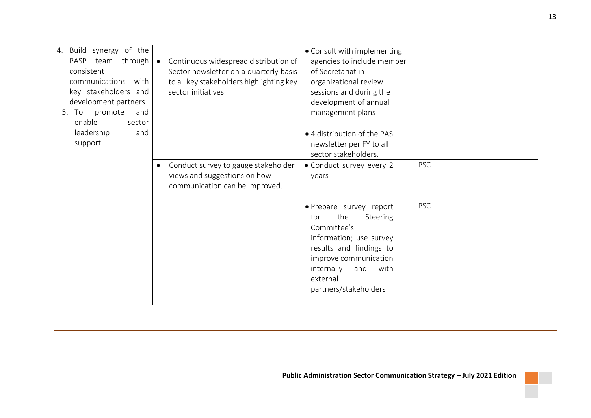| 4. Build synergy of the    |                                                    | • Consult with implementing |            |  |
|----------------------------|----------------------------------------------------|-----------------------------|------------|--|
| PASP team through          | Continuous widespread distribution of<br>$\bullet$ | agencies to include member  |            |  |
| consistent                 | Sector newsletter on a quarterly basis             | of Secretariat in           |            |  |
| communications<br>with     | to all key stakeholders highlighting key           | organizational review       |            |  |
| key stakeholders and       | sector initiatives.                                | sessions and during the     |            |  |
| development partners.      |                                                    | development of annual       |            |  |
| To<br>promote<br>5.<br>and |                                                    | management plans            |            |  |
| enable<br>sector           |                                                    |                             |            |  |
| leadership<br>and          |                                                    | • 4 distribution of the PAS |            |  |
| support.                   |                                                    | newsletter per FY to all    |            |  |
|                            |                                                    | sector stakeholders.        |            |  |
|                            | Conduct survey to gauge stakeholder<br>$\bullet$   | • Conduct survey every 2    | <b>PSC</b> |  |
|                            | views and suggestions on how                       | years                       |            |  |
|                            | communication can be improved.                     |                             |            |  |
|                            |                                                    |                             |            |  |
|                            |                                                    | · Prepare survey report     | <b>PSC</b> |  |
|                            |                                                    | the<br>for<br>Steering      |            |  |
|                            |                                                    | Committee's                 |            |  |
|                            |                                                    | information; use survey     |            |  |
|                            |                                                    | results and findings to     |            |  |
|                            |                                                    | improve communication       |            |  |
|                            |                                                    | internally<br>and<br>with   |            |  |
|                            |                                                    | external                    |            |  |
|                            |                                                    | partners/stakeholders       |            |  |
|                            |                                                    |                             |            |  |

Π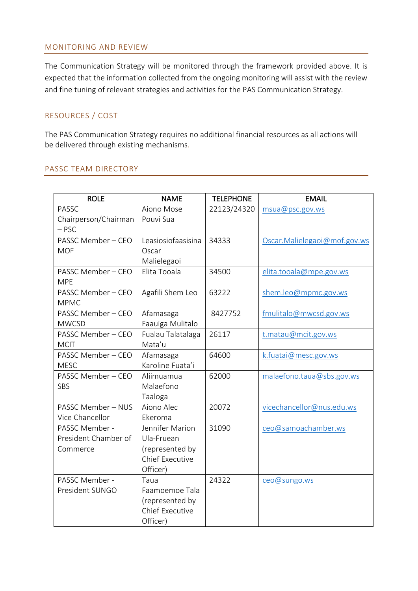#### <span id="page-13-0"></span>MONITORING AND REVIEW

The Communication Strategy will be monitored through the framework provided above. It is expected that the information collected from the ongoing monitoring will assist with the review and fine tuning of relevant strategies and activities for the PAS Communication Strategy.

### <span id="page-13-1"></span>RESOURCES / COST

The PAS Communication Strategy requires no additional financial resources as all actions will be delivered through existing mechanisms.

#### <span id="page-13-2"></span>PASSC TEAM DIRECTORY

| <b>ROLE</b>             | <b>NAME</b>            | <b>TELEPHONE</b> | <b>EMAIL</b>                 |
|-------------------------|------------------------|------------------|------------------------------|
| PASSC                   | Aiono Mose             | 22123/24320      | msua@psc.gov.ws              |
| Chairperson/Chairman    | Pouvi Sua              |                  |                              |
| $-$ PSC                 |                        |                  |                              |
| PASSC Member - CEO      | Leasiosiofaasisina     | 34333            | Oscar.Malielegaoi@mof.gov.ws |
| <b>MOF</b>              | Oscar                  |                  |                              |
|                         | Malielegaoi            |                  |                              |
| PASSC Member - CEO      | Elita Tooala           | 34500            | elita.tooala@mpe.gov.ws      |
| <b>MPE</b>              |                        |                  |                              |
| PASSC Member - CEO      | Agafili Shem Leo       | 63222            | shem.leo@mpmc.gov.ws         |
| <b>MPMC</b>             |                        |                  |                              |
| PASSC Member - CEO      | Afamasaga              | 8427752          | fmulitalo@mwcsd.gov.ws       |
| <b>MWCSD</b>            | Faauiga Mulitalo       |                  |                              |
| PASSC Member - CEO      | Fualau Talatalaga      | 26117            | t.matau@mcit.gov.ws          |
| <b>MCIT</b>             | Mata'u                 |                  |                              |
| PASSC Member - CEO      | Afamasaga              | 64600            | k.fuatai@mesc.gov.ws         |
| <b>MESC</b>             | Karoline Fuata'i       |                  |                              |
| PASSC Member - CEO      | Aliimuamua             | 62000            | malaefono.taua@sbs.gov.ws    |
| SBS                     | Malaefono              |                  |                              |
|                         | Taaloga                |                  |                              |
| <b>PASSC Member-NUS</b> | Aiono Alec             | 20072            | vicechancellor@nus.edu.ws    |
| Vice Chancellor         | Ekeroma                |                  |                              |
| PASSC Member -          | Jennifer Marion        | 31090            | ceo@samoachamber.ws          |
| President Chamber of    | Ula-Fruean             |                  |                              |
| Commerce                | (represented by        |                  |                              |
|                         | <b>Chief Executive</b> |                  |                              |
|                         | Officer)               |                  |                              |
| PASSC Member -          | Taua                   | 24322            | ceo@sungo.ws                 |
| President SUNGO         | Faamoemoe Tala         |                  |                              |
|                         | (represented by        |                  |                              |
|                         | <b>Chief Executive</b> |                  |                              |
|                         | Officer)               |                  |                              |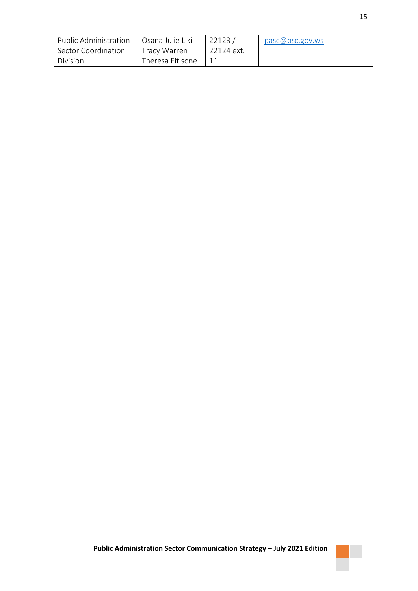| Public Administration | Osana Julie Liki | 22123      | pasc@psc.gov.ws |
|-----------------------|------------------|------------|-----------------|
| Sector Coordination   | Tracy Warren     | 22124 ext. |                 |
| Division              | Theresa Fitisone |            |                 |